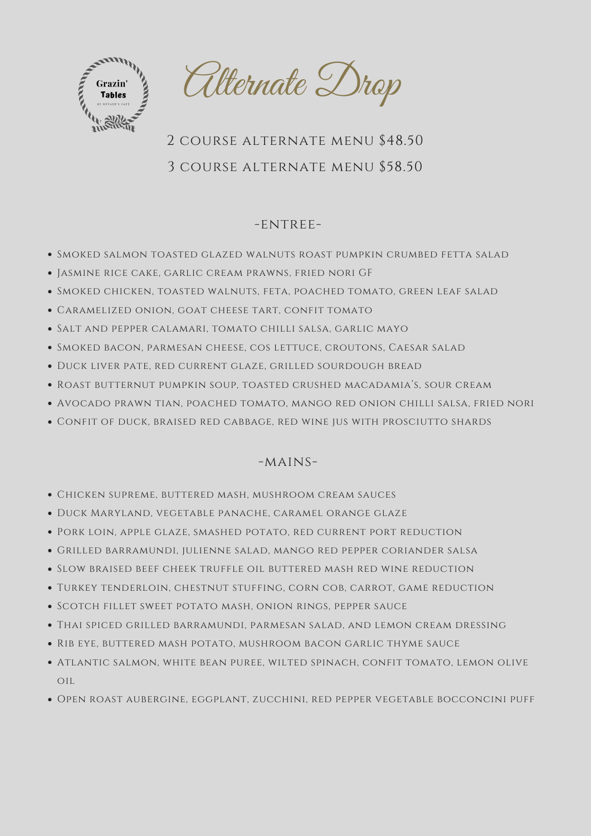

Alternate Drop

# 2 course alternate menu \$48.50 3 course alternate menu \$58.50

## -ENTREE-

- Smoked salmon toasted glazed walnuts roast pumpkin crumbed fetta salad
- Jasmine rice cake, garlic cream prawns, fried nori GF
- Smoked chicken, toasted walnuts, feta, poached tomato, green leaf salad
- Caramelized onion, goat cheese tart, confit tomato
- Salt and pepper calamari, tomato chilli salsa, garlic mayo
- Smoked bacon, parmesan cheese, cos lettuce, croutons, Caesar salad
- Duck liver pate, red current glaze, grilled sourdough bread
- Roast butternut pumpkin soup, toasted crushed macadamia's, sour cream
- Avocado prawn tian, poached tomato, mango red onion chilli salsa, fried nori
- Confit of duck, braised red cabbage, red wine jus with prosciutto shards

## $-MAINS-$

- Chicken supreme, buttered mash, mushroom cream sauces
- Duck Maryland, vegetable panache, caramel orange glaze
- Pork loin, apple glaze, smashed potato, red current port reduction
- Grilled barramundi, julienne salad, mango red pepper coriander salsa
- Slow braised beef cheek truffle oil buttered mash red wine reduction
- Turkey tenderloin, chestnut stuffing, corn cob, carrot, game reduction
- Scotch fillet sweet potato mash, onion rings, pepper sauce
- Thai spiced grilled barramundi, parmesan salad, and lemon cream dressing
- Rib eye, buttered mash potato, mushroom bacon garlic thyme sauce
- Atlantic salmon, white bean puree, wilted spinach, confit tomato, lemon olive oil
- Open roast aubergine, eggplant, zucchini, red pepper vegetable bocconcini puff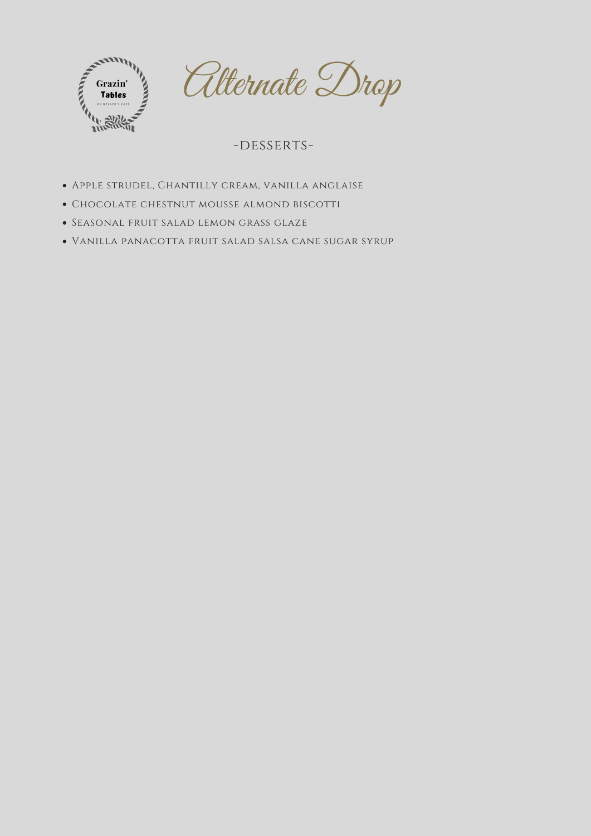

Alternate Drop

-DESSERTS-

- Apple strudel, Chantilly cream, vanilla anglaise
- Chocolate chestnut mousse almond biscotti
- Seasonal fruit salad lemon grass glaze
- Vanilla panacotta fruit salad salsa cane sugar syrup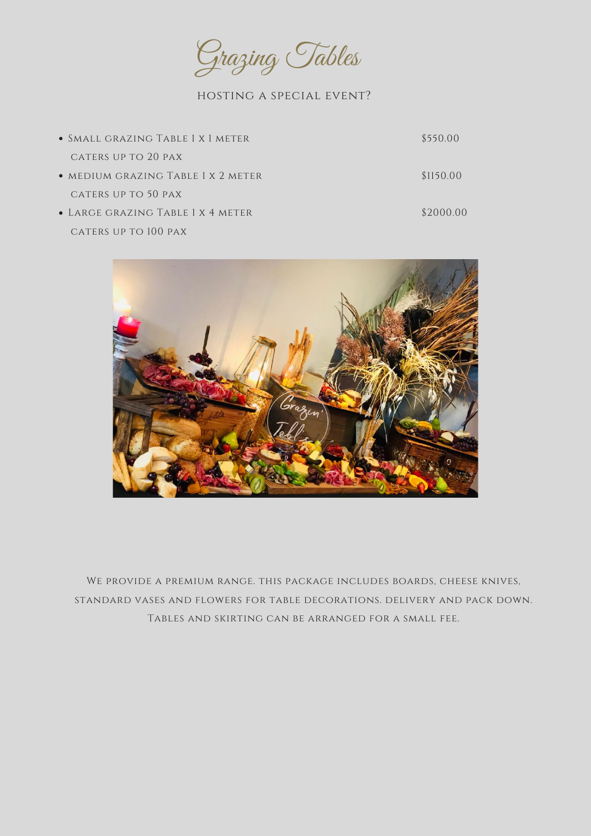

| • SMALL GRAZING TABLE 1 X 1 METER  | \$550.00  |
|------------------------------------|-----------|
| CATERS UP TO 20 PAX                |           |
| • MEDIUM GRAZING TABLE 1 X 2 METER | \$1150.00 |
| CATERS UP TO 50 PAX                |           |
| • LARGE GRAZING TABLE 1 X 4 METER  | \$2000.00 |
| CATERS UP TO 100 PAX               |           |



# We provide a premium range. this package includes boards, cheese knives, standard vases and flowers for table decorations. delivery and pack down. Tables and skirting can be arranged for a small fee.

### hosting a special event?